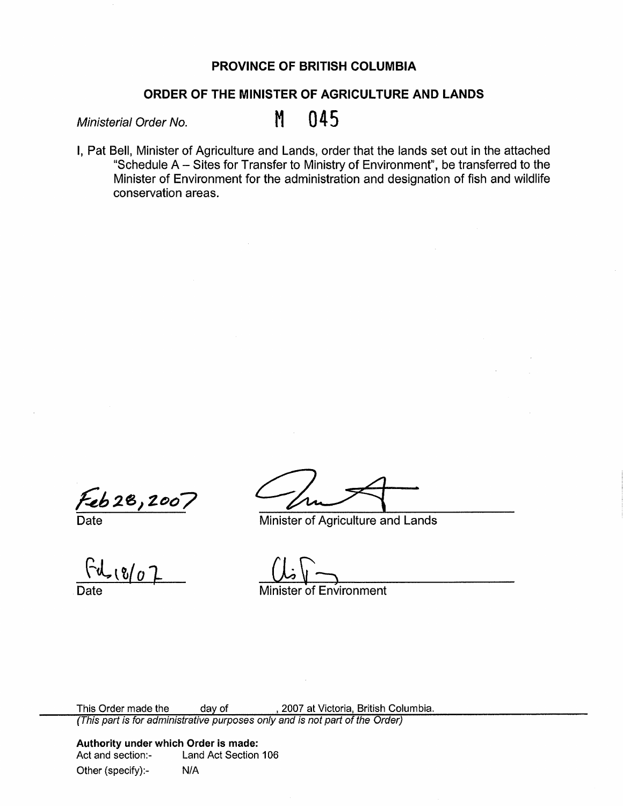## **PROVINCE OF BRITISH COLUMBIA**

## **ORDER OF THE MINISTER OF AGRICULTURE AND LANDS**

Ministerial Order No. M 045

I, Pat Bell, Minister of Agriculture and Lands, order that the lands set out in the attached "Schedule  $A - S$ ites for Transfer to Ministry of Environment", be transferred to the Minister of Environment for the administration and designation of fish and wildlife conservation areas.

 $\frac{6628,200}{\text{Date}}$ 

 $80^\circ$ 

Minister of Agriculture and Lands

Minister of Environment

This Order made the day of , 2007 at Victoria, British Columbia. (This part is for administrative purposes only and is not part of the Order)

**Authority under which Order is made:**  Land Act Section 106 Other (specify):- N/A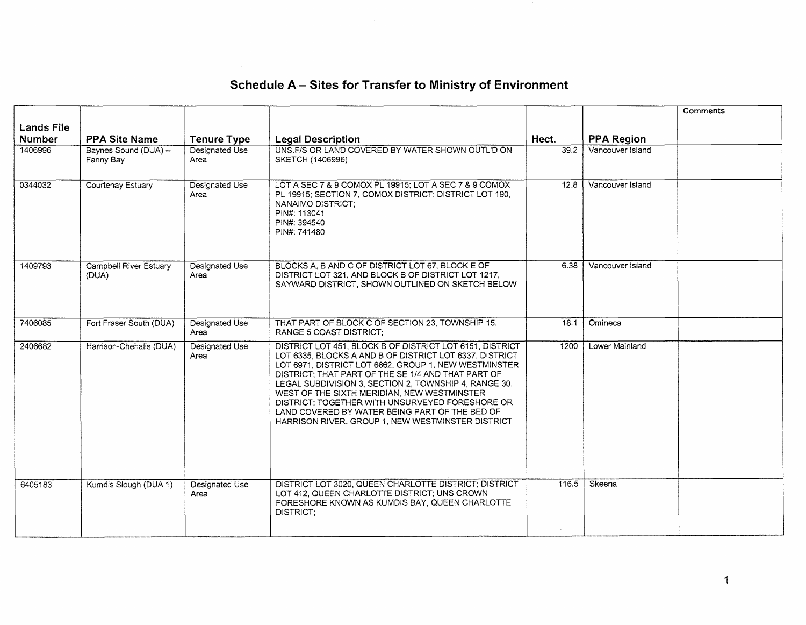|                                    |                                    |                               |                                                                                                                                                                                                                                                                                                                                                                                                                                                                                                      |       |                   | <b>Comments</b> |
|------------------------------------|------------------------------------|-------------------------------|------------------------------------------------------------------------------------------------------------------------------------------------------------------------------------------------------------------------------------------------------------------------------------------------------------------------------------------------------------------------------------------------------------------------------------------------------------------------------------------------------|-------|-------------------|-----------------|
| <b>Lands File</b><br><b>Number</b> | <b>PPA Site Name</b>               | <b>Tenure Type</b>            | <b>Legal Description</b>                                                                                                                                                                                                                                                                                                                                                                                                                                                                             | Hect. | <b>PPA Region</b> |                 |
| 1406996                            | Baynes Sound (DUA) --<br>Fanny Bay | Designated Use<br>Area        | UNS.F/S OR LAND COVERED BY WATER SHOWN OUTL'D ON<br>SKETCH (1406996)                                                                                                                                                                                                                                                                                                                                                                                                                                 | 39.2  | Vancouver Island  |                 |
| 0344032                            | Courtenay Estuary                  | Designated Use<br>Area        | LOT A SEC 7 & 9 COMOX PL 19915: LOT A SEC 7 & 9 COMOX<br>PL 19915; SECTION 7, COMOX DISTRICT; DISTRICT LOT 190,<br>NANAIMO DISTRICT:<br>PIN#: 113041<br>PIN#: 394540<br>PIN#: 741480                                                                                                                                                                                                                                                                                                                 | 12.8  | Vancouver Island  |                 |
| 1409793                            | Campbell River Estuary<br>(DUA)    | Designated Use<br>Area        | BLOCKS A. B AND C OF DISTRICT LOT 67, BLOCK E OF<br>DISTRICT LOT 321, AND BLOCK B OF DISTRICT LOT 1217.<br>SAYWARD DISTRICT, SHOWN OUTLINED ON SKETCH BELOW                                                                                                                                                                                                                                                                                                                                          | 6.38  | Vancouver Island  |                 |
| 7406085                            | Fort Fraser South (DUA)            | Designated Use<br>Area        | THAT PART OF BLOCK C OF SECTION 23, TOWNSHIP 15,<br><b>RANGE 5 COAST DISTRICT:</b>                                                                                                                                                                                                                                                                                                                                                                                                                   | 18.1  | Omineca           |                 |
| 2406682                            | Harrison-Chehalis (DUA)            | Designated Use<br>Area        | DISTRICT LOT 451, BLOCK B OF DISTRICT LOT 6151, DISTRICT<br>LOT 6335, BLOCKS A AND B OF DISTRICT LOT 6337, DISTRICT<br>LOT 6971, DISTRICT LOT 6662, GROUP 1, NEW WESTMINSTER<br>DISTRICT; THAT PART OF THE SE 1/4 AND THAT PART OF<br>LEGAL SUBDIVISION 3, SECTION 2, TOWNSHIP 4, RANGE 30,<br>WEST OF THE SIXTH MERIDIAN, NEW WESTMINSTER<br>DISTRICT: TOGETHER WITH UNSURVEYED FORESHORE OR<br>LAND COVERED BY WATER BEING PART OF THE BED OF<br>HARRISON RIVER, GROUP 1, NEW WESTMINSTER DISTRICT | 1200  | Lower Mainland    |                 |
| 6405183                            | Kumdis Slough (DUA 1)              | <b>Designated Use</b><br>Area | DISTRICT LOT 3020, QUEEN CHARLOTTE DISTRICT; DISTRICT<br>LOT 412, QUEEN CHARLOTTE DISTRICT; UNS CROWN<br>FORESHORE KNOWN AS KUMDIS BAY, QUEEN CHARLOTTE<br>DISTRICT:                                                                                                                                                                                                                                                                                                                                 | 116.5 | Skeena            |                 |

## **Schedule A- Sites for Transfer to Ministry of Environment**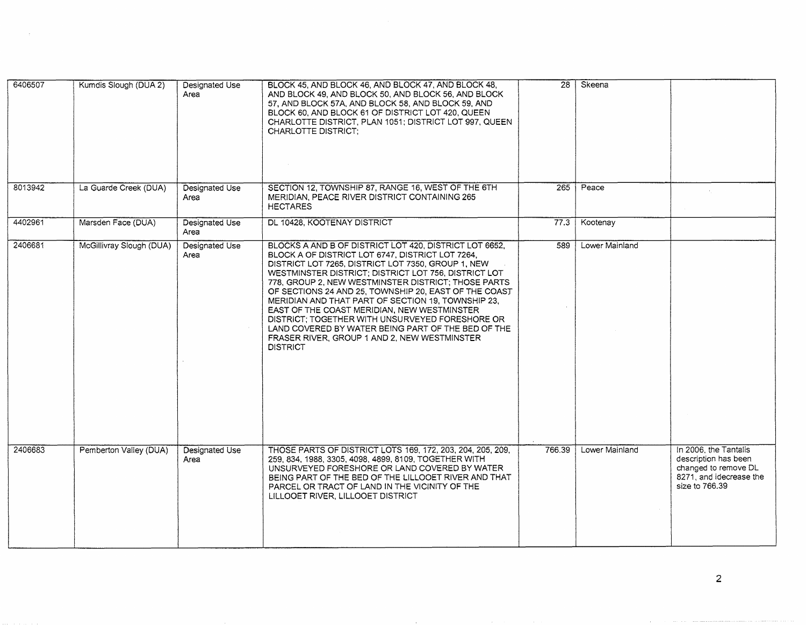| 6406507 | Kumdis Slough (DUA 2)    | Designated Use<br>Area        | BLOCK 45, AND BLOCK 46, AND BLOCK 47, AND BLOCK 48,<br>AND BLOCK 49, AND BLOCK 50, AND BLOCK 56, AND BLOCK<br>57. AND BLOCK 57A, AND BLOCK 58, AND BLOCK 59, AND<br>BLOCK 60, AND BLOCK 61 OF DISTRICT LOT 420, QUEEN<br>CHARLOTTE DISTRICT, PLAN 1051; DISTRICT LOT 997, QUEEN<br><b>CHARLOTTE DISTRICT:</b>                                                                                                                                                                                                                                                                                                             | $\overline{28}$ | Skeena         |                                                                                                                    |
|---------|--------------------------|-------------------------------|---------------------------------------------------------------------------------------------------------------------------------------------------------------------------------------------------------------------------------------------------------------------------------------------------------------------------------------------------------------------------------------------------------------------------------------------------------------------------------------------------------------------------------------------------------------------------------------------------------------------------|-----------------|----------------|--------------------------------------------------------------------------------------------------------------------|
| 8013942 | La Guarde Creek (DUA)    | Designated Use<br>Area        | SECTION 12, TOWNSHIP 87, RANGE 16, WEST OF THE 6TH<br>MERIDIAN, PEACE RIVER DISTRICT CONTAINING 265<br><b>HECTARES</b>                                                                                                                                                                                                                                                                                                                                                                                                                                                                                                    | $\frac{1}{265}$ | Peace          |                                                                                                                    |
| 4402961 | Marsden Face (DUA)       | Designated Use<br>Area        | DL 10428, KOOTENAY DISTRICT                                                                                                                                                                                                                                                                                                                                                                                                                                                                                                                                                                                               | 77.3            | Kootenay       |                                                                                                                    |
| 2406681 | McGillivray Slough (DUA) | Designated Use<br>Area        | BLOCKS A AND B OF DISTRICT LOT 420, DISTRICT LOT 6652,<br>BLOCK A OF DISTRICT LOT 6747, DISTRICT LOT 7264,<br>DISTRICT LOT 7265, DISTRICT LOT 7350, GROUP 1, NEW<br>WESTMINSTER DISTRICT; DISTRICT LOT 756, DISTRICT LOT<br>778, GROUP 2, NEW WESTMINSTER DISTRICT; THOSE PARTS<br>OF SECTIONS 24 AND 25, TOWNSHIP 20, EAST OF THE COAST<br>MERIDIAN AND THAT PART OF SECTION 19, TOWNSHIP 23.<br>EAST OF THE COAST MERIDIAN, NEW WESTMINSTER<br>DISTRICT; TOGETHER WITH UNSURVEYED FORESHORE OR<br>LAND COVERED BY WATER BEING PART OF THE BED OF THE<br>FRASER RIVER, GROUP 1 AND 2, NEW WESTMINSTER<br><b>DISTRICT</b> | 589             | Lower Mainland |                                                                                                                    |
| 2406683 | Pemberton Valley (DUA)   | <b>Designated Use</b><br>Area | THOSE PARTS OF DISTRICT LOTS 169, 172, 203, 204, 205, 209,<br>259, 834, 1988, 3305, 4098, 4899, 8109, TOGETHER WITH<br>UNSURVEYED FORESHORE OR LAND COVERED BY WATER<br>BEING PART OF THE BED OF THE LILLOOET RIVER AND THAT<br>PARCEL OR TRACT OF LAND IN THE VICINITY OF THE<br>LILLOOET RIVER, LILLOOET DISTRICT                                                                                                                                                                                                                                                                                                       | 766.39          | Lower Mainland | In 2006, the Tantalis<br>description has been<br>changed to remove DL<br>8271, and idecrease the<br>size to 766.39 |